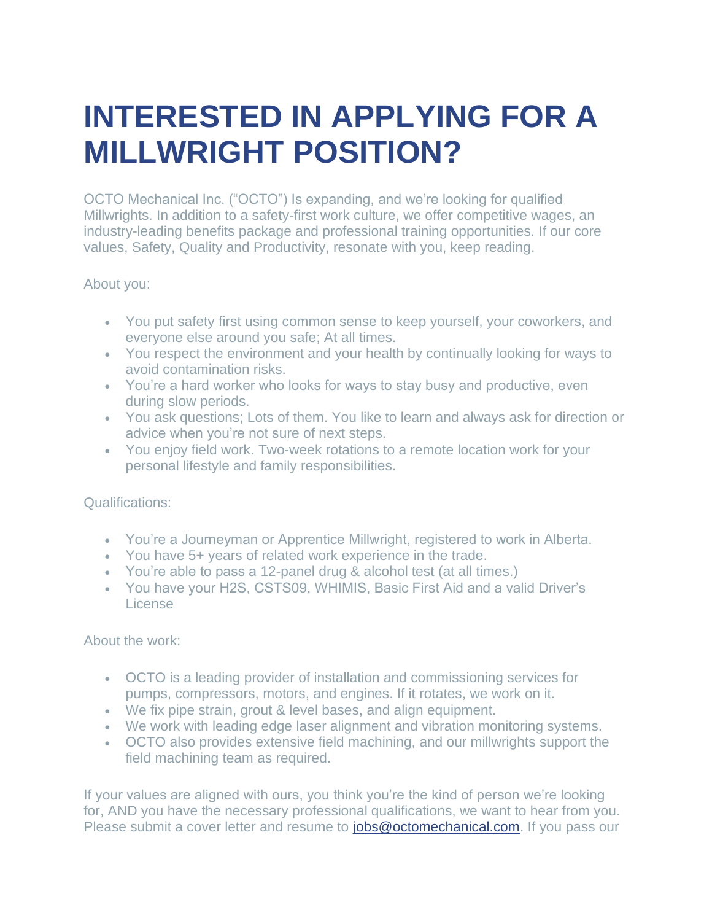## **INTERESTED IN APPLYING FOR A MILLWRIGHT POSITION?**

OCTO Mechanical Inc. ("OCTO") Is expanding, and we're looking for qualified Millwrights. In addition to a safety-first work culture, we offer competitive wages, an industry-leading benefits package and professional training opportunities. If our core values, Safety, Quality and Productivity, resonate with you, keep reading.

## About you:

- You put safety first using common sense to keep yourself, your coworkers, and everyone else around you safe; At all times.
- You respect the environment and your health by continually looking for ways to avoid contamination risks.
- You're a hard worker who looks for ways to stay busy and productive, even during slow periods.
- You ask questions; Lots of them. You like to learn and always ask for direction or advice when you're not sure of next steps.
- You enjoy field work. Two-week rotations to a remote location work for your personal lifestyle and family responsibilities.

## Qualifications:

- You're a Journeyman or Apprentice Millwright, registered to work in Alberta.
- You have 5+ years of related work experience in the trade.
- You're able to pass a 12-panel drug  $\&$  alcohol test (at all times.)
- You have your H2S, CSTS09, WHIMIS, Basic First Aid and a valid Driver's License

## About the work:

- OCTO is a leading provider of installation and commissioning services for pumps, compressors, motors, and engines. If it rotates, we work on it.
- We fix pipe strain, grout & level bases, and align equipment.
- We work with leading edge laser alignment and vibration monitoring systems.
- OCTO also provides extensive field machining, and our millwrights support the field machining team as required.

If your values are aligned with ours, you think you're the kind of person we're looking for, AND you have the necessary professional qualifications, we want to hear from you. Please submit a cover letter and resume to [jobs@octomechanical.com.](mailto:jobs@octomechanical.com) If you pass our